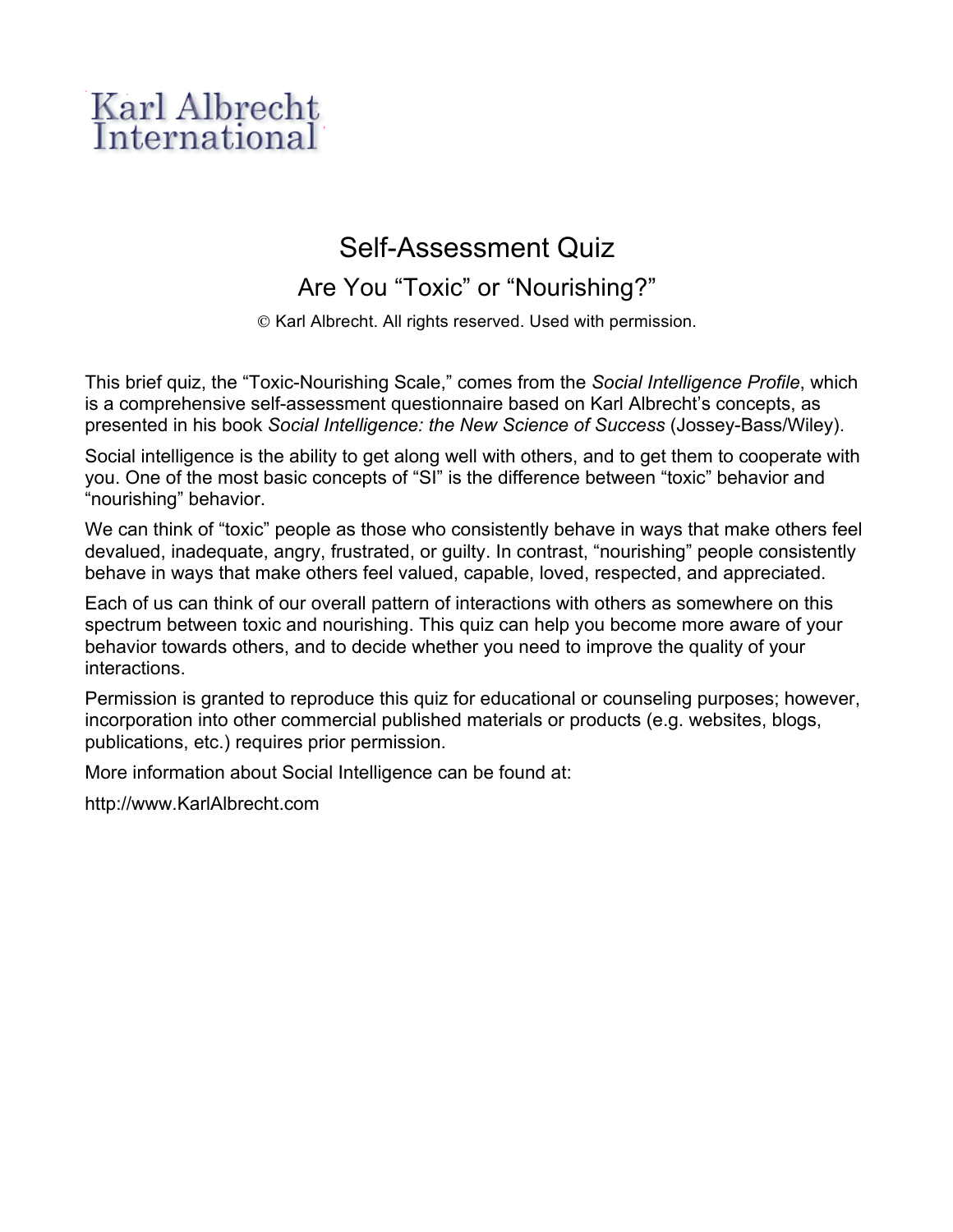## Karl Albrecht International

## Self-Assessment Quiz

Are You "Toxic" or "Nourishing?"

© Karl Albrecht. All rights reserved. Used with permission.

This brief quiz, the "Toxic-Nourishing Scale," comes from the *Social Intelligence Profile*, which is a comprehensive self-assessment questionnaire based on Karl Albrecht's concepts, as presented in his book *Social Intelligence: the New Science of Success* (Jossey-Bass/Wiley).

Social intelligence is the ability to get along well with others, and to get them to cooperate with you. One of the most basic concepts of "SI" is the difference between "toxic" behavior and "nourishing" behavior.

We can think of "toxic" people as those who consistently behave in ways that make others feel devalued, inadequate, angry, frustrated, or guilty. In contrast, "nourishing" people consistently behave in ways that make others feel valued, capable, loved, respected, and appreciated.

Each of us can think of our overall pattern of interactions with others as somewhere on this spectrum between toxic and nourishing. This quiz can help you become more aware of your behavior towards others, and to decide whether you need to improve the quality of your interactions.

Permission is granted to reproduce this quiz for educational or counseling purposes; however, incorporation into other commercial published materials or products (e.g. websites, blogs, publications, etc.) requires prior permission.

More information about Social Intelligence can be found at:

http://www.KarlAlbrecht.com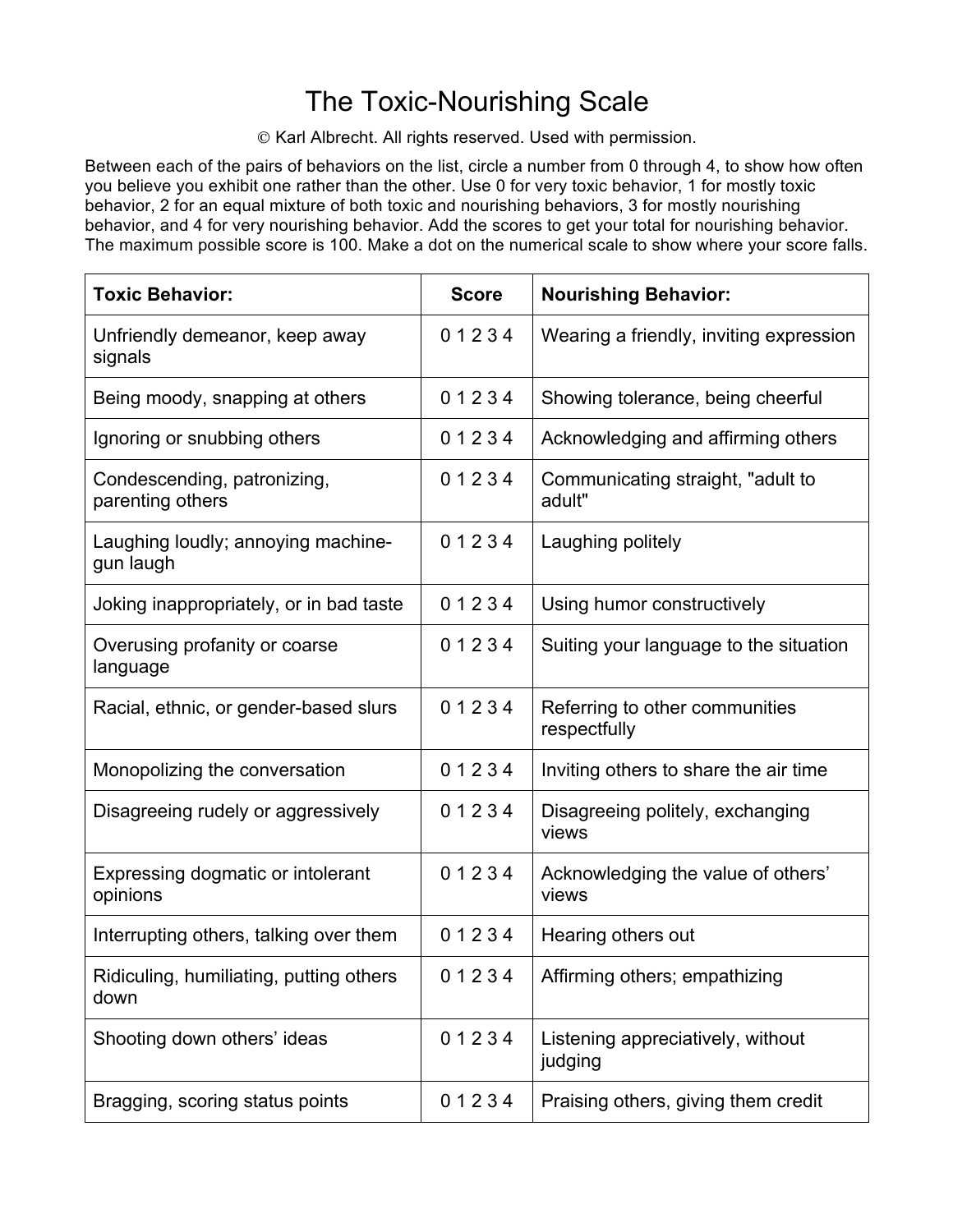## The Toxic-Nourishing Scale

© Karl Albrecht. All rights reserved. Used with permission.

Between each of the pairs of behaviors on the list, circle a number from 0 through 4, to show how often you believe you exhibit one rather than the other. Use 0 for very toxic behavior, 1 for mostly toxic behavior, 2 for an equal mixture of both toxic and nourishing behaviors, 3 for mostly nourishing behavior, and 4 for very nourishing behavior. Add the scores to get your total for nourishing behavior. The maximum possible score is 100. Make a dot on the numerical scale to show where your score falls.

| <b>Toxic Behavior:</b>                          | <b>Score</b> | <b>Nourishing Behavior:</b>                    |
|-------------------------------------------------|--------------|------------------------------------------------|
| Unfriendly demeanor, keep away<br>signals       | 01234        | Wearing a friendly, inviting expression        |
| Being moody, snapping at others                 | 01234        | Showing tolerance, being cheerful              |
| Ignoring or snubbing others                     | 01234        | Acknowledging and affirming others             |
| Condescending, patronizing,<br>parenting others | 01234        | Communicating straight, "adult to<br>adult"    |
| Laughing loudly; annoying machine-<br>gun laugh | 01234        | Laughing politely                              |
| Joking inappropriately, or in bad taste         | 01234        | Using humor constructively                     |
| Overusing profanity or coarse<br>language       | 01234        | Suiting your language to the situation         |
| Racial, ethnic, or gender-based slurs           | 01234        | Referring to other communities<br>respectfully |
| Monopolizing the conversation                   | 01234        | Inviting others to share the air time          |
| Disagreeing rudely or aggressively              | 01234        | Disagreeing politely, exchanging<br>views      |
| Expressing dogmatic or intolerant<br>opinions   | 01234        | Acknowledging the value of others'<br>views    |
| Interrupting others, talking over them          | 01234        | Hearing others out                             |
| Ridiculing, humiliating, putting others<br>down | 01234        | Affirming others; empathizing                  |
| Shooting down others' ideas                     | 01234        | Listening appreciatively, without<br>judging   |
| Bragging, scoring status points                 | 01234        | Praising others, giving them credit            |